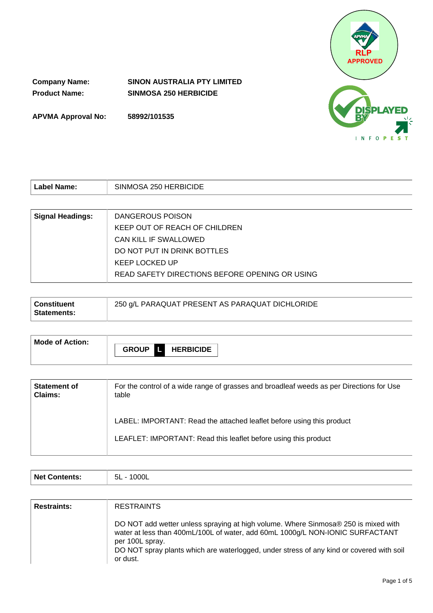

**Company Name: SINON AUSTRALIA PTY LIMITED Product Name: SINMOSA 250 HERBICIDE**

**APVMA Approval No: 58992/101535**

| Label Name:             | SINMOSA 250 HERBICIDE                          |  |  |
|-------------------------|------------------------------------------------|--|--|
|                         |                                                |  |  |
| <b>Signal Headings:</b> | DANGEROUS POISON                               |  |  |
|                         | KEEP OUT OF REACH OF CHILDREN                  |  |  |
|                         | CAN KILL IF SWALLOWED                          |  |  |
|                         | DO NOT PUT IN DRINK BOTTLES                    |  |  |
|                         | KEEP LOCKED UP                                 |  |  |
|                         | READ SAFETY DIRECTIONS BEFORE OPENING OR USING |  |  |

| Mode of Action: |  |                              |
|-----------------|--|------------------------------|
|                 |  | <b>GROUP &amp; HERBICIDE</b> |
|                 |  |                              |

| <b>Statement of</b> | For the control of a wide range of grasses and broadleaf weeds as per Directions for Use                                                 |
|---------------------|------------------------------------------------------------------------------------------------------------------------------------------|
| Claims:             | table                                                                                                                                    |
|                     | LABEL: IMPORTANT: Read the attached leaflet before using this product<br>LEAFLET: IMPORTANT: Read this leaflet before using this product |

| <b>Net</b><br>5L<br>ົ′`∩n⊪<br>IIS.<br>◡∟ |
|------------------------------------------|
|------------------------------------------|

| <b>Restraints:</b> | <b>RESTRAINTS</b>                                                                                                                                                                                                                                                                              |
|--------------------|------------------------------------------------------------------------------------------------------------------------------------------------------------------------------------------------------------------------------------------------------------------------------------------------|
|                    | DO NOT add wetter unless spraying at high volume. Where Sinmosa® 250 is mixed with<br>water at less than 400mL/100L of water, add 60mL 1000g/L NON-IONIC SURFACTANT<br>per 100L spray.<br>DO NOT spray plants which are waterlogged, under stress of any kind or covered with soil<br>or dust. |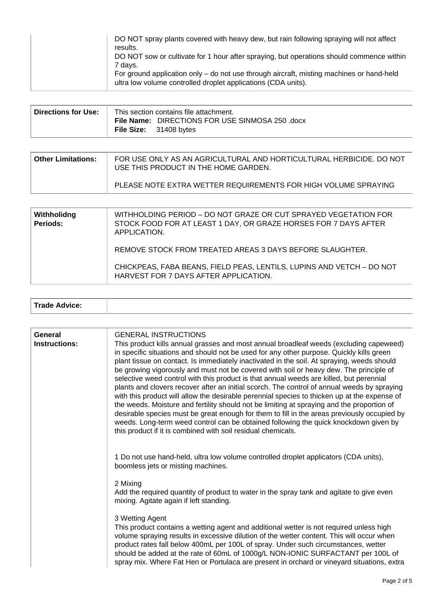| DO NOT spray plants covered with heavy dew, but rain following spraying will not affect<br>results.<br>DO NOT sow or cultivate for 1 hour after spraying, but operations should commence within<br>7 days.<br>For ground application only – do not use through aircraft, misting machines or hand-held<br>ultra low volume controlled droplet applications (CDA units). |  |
|-------------------------------------------------------------------------------------------------------------------------------------------------------------------------------------------------------------------------------------------------------------------------------------------------------------------------------------------------------------------------|--|
|-------------------------------------------------------------------------------------------------------------------------------------------------------------------------------------------------------------------------------------------------------------------------------------------------------------------------------------------------------------------------|--|

| ∣ Directions for Use: ⊺ | This section contains file attachment. |                                                                                  |  |
|-------------------------|----------------------------------------|----------------------------------------------------------------------------------|--|
|                         |                                        | File Name: DIRECTIONS FOR USE SINMOSA 250 .docx<br><b>File Size:</b> 31408 bytes |  |

| <b>Other Limitations:</b> | FOR USE ONLY AS AN AGRICULTURAL AND HORTICULTURAL HERBICIDE. DO NOT<br>USE THIS PRODUCT IN THE HOME GARDEN. |
|---------------------------|-------------------------------------------------------------------------------------------------------------|
|                           | PLEASE NOTE EXTRA WETTER REQUIREMENTS FOR HIGH VOLUME SPRAYING                                              |

| Withholidng<br><b>Periods:</b> | WITHHOLDING PERIOD - DO NOT GRAZE OR CUT SPRAYED VEGETATION FOR<br>STOCK FOOD FOR AT LEAST 1 DAY, OR GRAZE HORSES FOR 7 DAYS AFTER<br>APPLICATION. |
|--------------------------------|----------------------------------------------------------------------------------------------------------------------------------------------------|
|                                | REMOVE STOCK FROM TREATED AREAS 3 DAYS BEFORE SLAUGHTER.                                                                                           |
|                                | CHICKPEAS, FABA BEANS, FIELD PEAS, LENTILS, LUPINS AND VETCH - DO NOT<br>HARVEST FOR 7 DAYS AFTER APPLICATION.                                     |

| <b>Trade Advice:</b> |  |  |
|----------------------|--|--|
|----------------------|--|--|

| General<br>Instructions: | <b>GENERAL INSTRUCTIONS</b><br>This product kills annual grasses and most annual broadleaf weeds (excluding capeweed)<br>in specific situations and should not be used for any other purpose. Quickly kills green<br>plant tissue on contact. Is immediately inactivated in the soil. At spraying, weeds should<br>be growing vigorously and must not be covered with soil or heavy dew. The principle of<br>selective weed control with this product is that annual weeds are killed, but perennial<br>plants and clovers recover after an initial scorch. The control of annual weeds by spraying<br>with this product will allow the desirable perennial species to thicken up at the expense of<br>the weeds. Moisture and fertility should not be limiting at spraying and the proportion of<br>desirable species must be great enough for them to fill in the areas previously occupied by<br>weeds. Long-term weed control can be obtained following the quick knockdown given by<br>this product if it is combined with soil residual chemicals. |
|--------------------------|----------------------------------------------------------------------------------------------------------------------------------------------------------------------------------------------------------------------------------------------------------------------------------------------------------------------------------------------------------------------------------------------------------------------------------------------------------------------------------------------------------------------------------------------------------------------------------------------------------------------------------------------------------------------------------------------------------------------------------------------------------------------------------------------------------------------------------------------------------------------------------------------------------------------------------------------------------------------------------------------------------------------------------------------------------|
|                          | 1 Do not use hand-held, ultra low volume controlled droplet applicators (CDA units),<br>boomless jets or misting machines.                                                                                                                                                                                                                                                                                                                                                                                                                                                                                                                                                                                                                                                                                                                                                                                                                                                                                                                               |
|                          | 2 Mixing<br>Add the required quantity of product to water in the spray tank and agitate to give even<br>mixing. Agitate again if left standing.                                                                                                                                                                                                                                                                                                                                                                                                                                                                                                                                                                                                                                                                                                                                                                                                                                                                                                          |
|                          | 3 Wetting Agent<br>This product contains a wetting agent and additional wetter is not required unless high<br>volume spraying results in excessive dilution of the wetter content. This will occur when<br>product rates fall below 400mL per 100L of spray. Under such circumstances, wetter<br>should be added at the rate of 60mL of 1000g/L NON-IONIC SURFACTANT per 100L of<br>spray mix. Where Fat Hen or Portulaca are present in orchard or vineyard situations, extra                                                                                                                                                                                                                                                                                                                                                                                                                                                                                                                                                                           |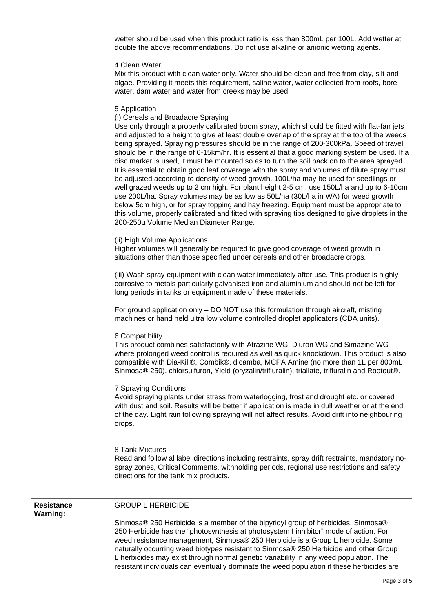wetter should be used when this product ratio is less than 800mL per 100L. Add wetter at double the above recommendations. Do not use alkaline or anionic wetting agents.

# 4 Clean Water

Mix this product with clean water only. Water should be clean and free from clay, silt and algae. Providing it meets this requirement, saline water, water collected from roofs, bore water, dam water and water from creeks may be used.

#### 5 Application

# (i) Cereals and Broadacre Spraying

Use only through a properly calibrated boom spray, which should be fitted with flat-fan jets and adjusted to a height to give at least double overlap of the spray at the top of the weeds being sprayed. Spraying pressures should be in the range of 200-300kPa. Speed of travel should be in the range of 6-15km/hr. It is essential that a good marking system be used. If a disc marker is used, it must be mounted so as to turn the soil back on to the area sprayed. It is essential to obtain good leaf coverage with the spray and volumes of dilute spray must be adjusted according to density of weed growth. 100L/ha may be used for seedlings or well grazed weeds up to 2 cm high. For plant height 2-5 cm, use 150L/ha and up to 6-10cm use 200L/ha. Spray volumes may be as low as 50L/ha (30L/ha in WA) for weed growth below 5cm high, or for spray topping and hay freezing. Equipment must be appropriate to this volume, properly calibrated and fitted with spraying tips designed to give droplets in the 200-250µ Volume Median Diameter Range.

#### (ii) High Volume Applications

Higher volumes will generally be required to give good coverage of weed growth in situations other than those specified under cereals and other broadacre crops.

(iii) Wash spray equipment with clean water immediately after use. This product is highly corrosive to metals particularly galvanised iron and aluminium and should not be left for long periods in tanks or equipment made of these materials.

For ground application only – DO NOT use this formulation through aircraft, misting machines or hand held ultra low volume controlled droplet applicators (CDA units).

#### 6 Compatibility

This product combines satisfactorily with Atrazine WG, Diuron WG and Simazine WG where prolonged weed control is required as well as quick knockdown. This product is also compatible with Dia-Kill®, Combik®, dicamba, MCPA Amine (no more than 1L per 800mL Sinmosa® 250), chlorsulfuron, Yield (oryzalin/trifluralin), triallate, trifluralin and Rootout®.

### 7 Spraying Conditions

Avoid spraying plants under stress from waterlogging, frost and drought etc. or covered with dust and soil. Results will be better if application is made in dull weather or at the end of the day. Light rain following spraying will not affect results. Avoid drift into neighbouring crops.

# 8 Tank Mixtures

Read and follow al label directions including restraints, spray drift restraints, mandatory nospray zones, Critical Comments, withholding periods, regional use restrictions and safety directions for the tank mix products.

| <b>Resistance</b><br><b>Warning:</b> | <b>GROUP L HERBICIDE</b>                                                                                                                                                                                                                                                                                                                                                                                                                                                                                                                     |
|--------------------------------------|----------------------------------------------------------------------------------------------------------------------------------------------------------------------------------------------------------------------------------------------------------------------------------------------------------------------------------------------------------------------------------------------------------------------------------------------------------------------------------------------------------------------------------------------|
|                                      | Sinmosa® 250 Herbicide is a member of the bipyridyl group of herbicides. Sinmosa®<br>250 Herbicide has the "photosynthesis at photosystem I inhibitor" mode of action. For<br>weed resistance management, Sinmosa® 250 Herbicide is a Group L herbicide. Some<br>naturally occurring weed biotypes resistant to Sinmosa® 250 Herbicide and other Group<br>L herbicides may exist through normal genetic variability in any weed population. The<br>resistant individuals can eventually dominate the weed population if these herbicides are |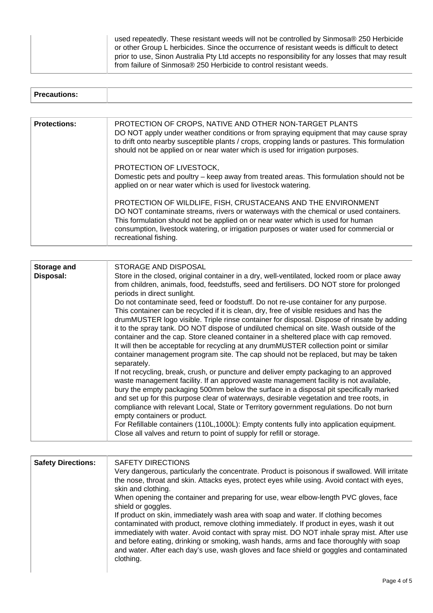| used repeatedly. These resistant weeds will not be controlled by Sinmosa® 250 Herbicide        |
|------------------------------------------------------------------------------------------------|
| or other Group L herbicides. Since the occurrence of resistant weeds is difficult to detect    |
| prior to use, Sinon Australia Pty Ltd accepts no responsibility for any losses that may result |
| from failure of Sinmosa® 250 Herbicide to control resistant weeds.                             |

| <b>Precautions:</b> |                                                                                                                                                                                                                                                                                                                                                               |
|---------------------|---------------------------------------------------------------------------------------------------------------------------------------------------------------------------------------------------------------------------------------------------------------------------------------------------------------------------------------------------------------|
|                     |                                                                                                                                                                                                                                                                                                                                                               |
| <b>Protections:</b> | PROTECTION OF CROPS, NATIVE AND OTHER NON-TARGET PLANTS<br>DO NOT apply under weather conditions or from spraying equipment that may cause spray<br>to drift onto nearby susceptible plants / crops, cropping lands or pastures. This formulation<br>should not be applied on or near water which is used for irrigation purposes.                            |
|                     | PROTECTION OF LIVESTOCK,<br>Domestic pets and poultry – keep away from treated areas. This formulation should not be<br>applied on or near water which is used for livestock watering.                                                                                                                                                                        |
|                     | PROTECTION OF WILDLIFE, FISH, CRUSTACEANS AND THE ENVIRONMENT<br>DO NOT contaminate streams, rivers or waterways with the chemical or used containers.<br>This formulation should not be applied on or near water which is used for human<br>consumption, livestock watering, or irrigation purposes or water used for commercial or<br>recreational fishing. |

| <b>Storage and</b><br>Disposal: | STORAGE AND DISPOSAL<br>Store in the closed, original container in a dry, well-ventilated, locked room or place away<br>from children, animals, food, feedstuffs, seed and fertilisers. DO NOT store for prolonged<br>periods in direct sunlight.<br>Do not contaminate seed, feed or foodstuff. Do not re-use container for any purpose.<br>This container can be recycled if it is clean, dry, free of visible residues and has the<br>drumMUSTER logo visible. Triple rinse container for disposal. Dispose of rinsate by adding<br>it to the spray tank. DO NOT dispose of undiluted chemical on site. Wash outside of the<br>container and the cap. Store cleaned container in a sheltered place with cap removed.<br>It will then be acceptable for recycling at any drumMUSTER collection point or similar<br>container management program site. The cap should not be replaced, but may be taken<br>separately.<br>If not recycling, break, crush, or puncture and deliver empty packaging to an approved<br>waste management facility. If an approved waste management facility is not available,<br>bury the empty packaging 500mm below the surface in a disposal pit specifically marked<br>and set up for this purpose clear of waterways, desirable vegetation and tree roots, in<br>compliance with relevant Local, State or Territory government regulations. Do not burn<br>empty containers or product.<br>For Refillable containers (110L,1000L): Empty contents fully into application equipment.<br>Close all valves and return to point of supply for refill or storage. |
|---------------------------------|------------------------------------------------------------------------------------------------------------------------------------------------------------------------------------------------------------------------------------------------------------------------------------------------------------------------------------------------------------------------------------------------------------------------------------------------------------------------------------------------------------------------------------------------------------------------------------------------------------------------------------------------------------------------------------------------------------------------------------------------------------------------------------------------------------------------------------------------------------------------------------------------------------------------------------------------------------------------------------------------------------------------------------------------------------------------------------------------------------------------------------------------------------------------------------------------------------------------------------------------------------------------------------------------------------------------------------------------------------------------------------------------------------------------------------------------------------------------------------------------------------------------------------------------------------------------------------------------|
|                                 |                                                                                                                                                                                                                                                                                                                                                                                                                                                                                                                                                                                                                                                                                                                                                                                                                                                                                                                                                                                                                                                                                                                                                                                                                                                                                                                                                                                                                                                                                                                                                                                                |

| <b>Safety Directions:</b> | SAFETY DIRECTIONS<br>Very dangerous, particularly the concentrate. Product is poisonous if swallowed. Will irritate<br>the nose, throat and skin. Attacks eyes, protect eyes while using. Avoid contact with eyes,<br>skin and clothing.<br>When opening the container and preparing for use, wear elbow-length PVC gloves, face<br>shield or goggles.<br>If product on skin, immediately wash area with soap and water. If clothing becomes<br>contaminated with product, remove clothing immediately. If product in eyes, wash it out<br>immediately with water. Avoid contact with spray mist. DO NOT inhale spray mist. After use<br>and before eating, drinking or smoking, wash hands, arms and face thoroughly with soap |
|---------------------------|---------------------------------------------------------------------------------------------------------------------------------------------------------------------------------------------------------------------------------------------------------------------------------------------------------------------------------------------------------------------------------------------------------------------------------------------------------------------------------------------------------------------------------------------------------------------------------------------------------------------------------------------------------------------------------------------------------------------------------|
|                           | and water. After each day's use, wash gloves and face shield or goggles and contaminated<br>clothing.                                                                                                                                                                                                                                                                                                                                                                                                                                                                                                                                                                                                                           |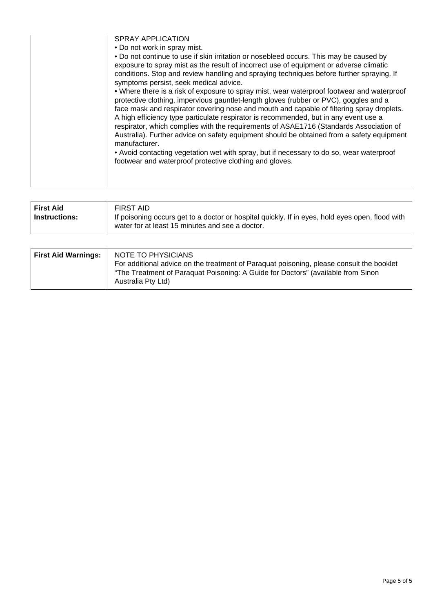SPRAY APPLICATION

• Do not work in spray mist.

• Do not continue to use if skin irritation or nosebleed occurs. This may be caused by exposure to spray mist as the result of incorrect use of equipment or adverse climatic conditions. Stop and review handling and spraying techniques before further spraying. If symptoms persist, seek medical advice. • Where there is a risk of exposure to spray mist, wear waterproof footwear and waterproof protective clothing, impervious gauntlet-length gloves (rubber or PVC), goggles and a face mask and respirator covering nose and mouth and capable of filtering spray droplets. A high efficiency type particulate respirator is recommended, but in any event use a respirator, which complies with the requirements of ASAE1716 (Standards Association of Australia). Further advice on safety equipment should be obtained from a safety equipment manufacturer. • Avoid contacting vegetation wet with spray, but if necessary to do so, wear waterproof footwear and waterproof protective clothing and gloves.

| FIRST AID<br><b>First Aid</b><br>If poisoning occurs get to a doctor or hospital quickly. If in eyes, hold eyes open, flood with<br><b>Instructions:</b> |  |  | water for at least 15 minutes and see a doctor. |
|----------------------------------------------------------------------------------------------------------------------------------------------------------|--|--|-------------------------------------------------|
|----------------------------------------------------------------------------------------------------------------------------------------------------------|--|--|-------------------------------------------------|

| <b>First Aid Warnings:</b> | NOTE TO PHYSICIANS<br>For additional advice on the treatment of Paraguat poisoning, please consult the booklet |
|----------------------------|----------------------------------------------------------------------------------------------------------------|
|                            | "The Treatment of Paraguat Poisoning: A Guide for Doctors" (available from Sinon<br>Australia Pty Ltd)         |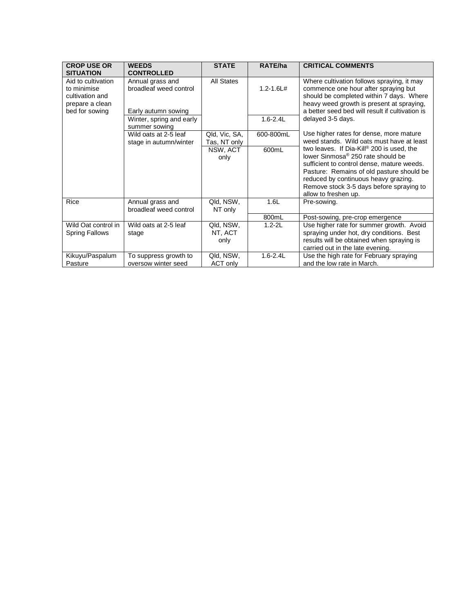| <b>CROP USE OR</b><br><b>SITUATION</b>                                                    | <b>WEEDS</b><br><b>CONTROLLED</b>                                 | <b>STATE</b>                  | RATE/ha       | <b>CRITICAL COMMENTS</b>                                                                                                                                                                                                                                                                          |
|-------------------------------------------------------------------------------------------|-------------------------------------------------------------------|-------------------------------|---------------|---------------------------------------------------------------------------------------------------------------------------------------------------------------------------------------------------------------------------------------------------------------------------------------------------|
| Aid to cultivation<br>to minimise<br>cultivation and<br>prepare a clean<br>bed for sowing | Annual grass and<br>broadleaf weed control<br>Early autumn sowing | <b>All States</b>             | $1.2 - 1.6L#$ | Where cultivation follows spraying, it may<br>commence one hour after spraying but<br>should be completed within 7 days. Where<br>heavy weed growth is present at spraying,<br>a better seed bed will result if cultivation is                                                                    |
|                                                                                           | Winter, spring and early<br>summer sowing                         |                               | $1.6 - 2.4L$  | delayed 3-5 days.                                                                                                                                                                                                                                                                                 |
|                                                                                           | Wild oats at 2-5 leaf<br>stage in autumn/winter                   | Qld, Vic, SA,<br>Tas, NT only | 600-800mL     | Use higher rates for dense, more mature<br>weed stands. Wild oats must have at least                                                                                                                                                                                                              |
|                                                                                           |                                                                   | NSW, ACT<br>only              | 600mL         | two leaves. If Dia-Kill® 200 is used, the<br>lower Sinmosa <sup>®</sup> 250 rate should be<br>sufficient to control dense, mature weeds.<br>Pasture: Remains of old pasture should be<br>reduced by continuous heavy grazing.<br>Remove stock 3-5 days before spraying to<br>allow to freshen up. |
| Rice                                                                                      | Annual grass and<br>broadleaf weed control                        | Qld, NSW,<br>NT only          | 1.6L          | Pre-sowing.                                                                                                                                                                                                                                                                                       |
|                                                                                           |                                                                   |                               | 800mL         | Post-sowing, pre-crop emergence                                                                                                                                                                                                                                                                   |
| Wild Oat control in<br><b>Spring Fallows</b>                                              | Wild oats at 2-5 leaf<br>stage                                    | Qld, NSW,<br>NT, ACT<br>only  | $1.2 - 2L$    | Use higher rate for summer growth. Avoid<br>spraying under hot, dry conditions. Best<br>results will be obtained when spraying is<br>carried out in the late evening.                                                                                                                             |
| Kikuyu/Paspalum<br>Pasture                                                                | To suppress growth to<br>oversow winter seed                      | Qld, NSW,<br>ACT only         | $1.6 - 2.4L$  | Use the high rate for February spraying<br>and the low rate in March.                                                                                                                                                                                                                             |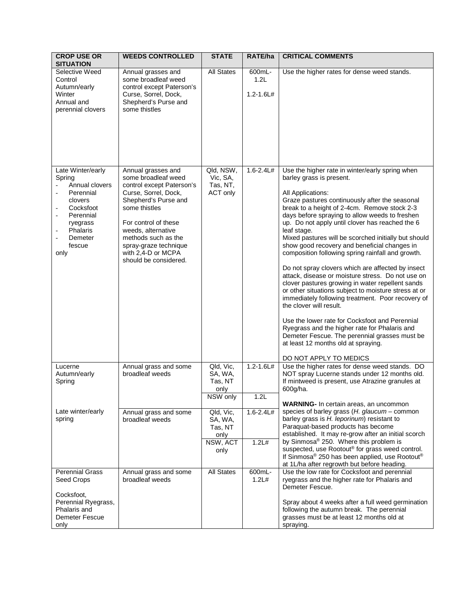| <b>CROP USE OR</b><br><b>SITUATION</b>                                                                                                                                       | <b>WEEDS CONTROLLED</b>                                                                                                                                                                                                                                                              | <b>STATE</b>                                                | RATE/ha                         | <b>CRITICAL COMMENTS</b>                                                                                                                                                                                                                                                                                                                                                                                                                                                                                                                                                                                                                                                                                                                                                                                                                                                                                                                                                                                       |
|------------------------------------------------------------------------------------------------------------------------------------------------------------------------------|--------------------------------------------------------------------------------------------------------------------------------------------------------------------------------------------------------------------------------------------------------------------------------------|-------------------------------------------------------------|---------------------------------|----------------------------------------------------------------------------------------------------------------------------------------------------------------------------------------------------------------------------------------------------------------------------------------------------------------------------------------------------------------------------------------------------------------------------------------------------------------------------------------------------------------------------------------------------------------------------------------------------------------------------------------------------------------------------------------------------------------------------------------------------------------------------------------------------------------------------------------------------------------------------------------------------------------------------------------------------------------------------------------------------------------|
| Selective Weed<br>Control<br>Autumn/early<br>Winter<br>Annual and<br>perennial clovers                                                                                       | Annual grasses and<br>some broadleaf weed<br>control except Paterson's<br>Curse, Sorrel, Dock,<br>Shepherd's Purse and<br>some thistles                                                                                                                                              | <b>All States</b>                                           | 600mL-<br>1.2L<br>$1.2 - 1.6L#$ | Use the higher rates for dense weed stands.                                                                                                                                                                                                                                                                                                                                                                                                                                                                                                                                                                                                                                                                                                                                                                                                                                                                                                                                                                    |
| Late Winter/early<br>Spring<br>Annual clovers<br>Perennial<br>÷,<br>clovers<br>Cocksfoot<br>Perennial<br>$\blacksquare$<br>ryegrass<br>Phalaris<br>Demeter<br>fescue<br>only | Annual grasses and<br>some broadleaf weed<br>control except Paterson's<br>Curse, Sorrel, Dock,<br>Shepherd's Purse and<br>some thistles<br>For control of these<br>weeds, alternative<br>methods such as the<br>spray-graze technique<br>with 2,4-D or MCPA<br>should be considered. | Qld, NSW,<br>Vic, SA,<br>Tas, NT,<br><b>ACT only</b>        | $1.6 - 2.4L#$                   | Use the higher rate in winter/early spring when<br>barley grass is present.<br>All Applications:<br>Graze pastures continuously after the seasonal<br>break to a height of 2-4cm. Remove stock 2-3<br>days before spraying to allow weeds to freshen<br>up. Do not apply until clover has reached the 6<br>leaf stage.<br>Mixed pastures will be scorched initially but should<br>show good recovery and beneficial changes in<br>composition following spring rainfall and growth.<br>Do not spray clovers which are affected by insect<br>attack, disease or moisture stress. Do not use on<br>clover pastures growing in water repellent sands<br>or other situations subject to moisture stress at or<br>immediately following treatment. Poor recovery of<br>the clover will result.<br>Use the lower rate for Cocksfoot and Perennial<br>Ryegrass and the higher rate for Phalaris and<br>Demeter Fescue. The perennial grasses must be<br>at least 12 months old at spraying.<br>DO NOT APPLY TO MEDICS |
| Lucerne<br>Autumn/early<br>Spring                                                                                                                                            | Annual grass and some<br>broadleaf weeds                                                                                                                                                                                                                                             | Qld, Vic,<br>SA, WA,<br>Tas, NT<br>only<br>NSW only         | $1.2 - 1.6L#$<br>1.2L           | Use the higher rates for dense weed stands. DO<br>NOT spray Lucerne stands under 12 months old.<br>If mintweed is present, use Atrazine granules at<br>600g/ha.                                                                                                                                                                                                                                                                                                                                                                                                                                                                                                                                                                                                                                                                                                                                                                                                                                                |
| Late winter/early<br>spring                                                                                                                                                  | Annual grass and some<br>broadleaf weeds                                                                                                                                                                                                                                             | Qld, Vic,<br>SA, WA,<br>Tas, NT<br>only<br>NSW, ACT<br>only | $1.6 - 2.4L#$<br>1.2L#          | WARNING- In certain areas, an uncommon<br>species of barley grass $(H.$ glaucum - common<br>barley grass is H. leporinum) resistant to<br>Paraquat-based products has become<br>established. It may re-grow after an initial scorch<br>by Sinmosa® 250. Where this problem is<br>suspected, use Rootout® for grass weed control.<br>If Sinmosa® 250 has been applied, use Rootout®<br>at 1L/ha after regrowth but before heading.                                                                                                                                                                                                                                                                                                                                                                                                                                                                                                                                                                              |
| <b>Perennial Grass</b><br>Seed Crops<br>Cocksfoot,<br>Perennial Ryegrass,<br>Phalaris and<br>Demeter Fescue<br>only                                                          | Annual grass and some<br>broadleaf weeds                                                                                                                                                                                                                                             | <b>All States</b>                                           | 600mL-<br>1.2L#                 | Use the low rate for Cocksfoot and perennial<br>ryegrass and the higher rate for Phalaris and<br>Demeter Fescue.<br>Spray about 4 weeks after a full weed germination<br>following the autumn break. The perennial<br>grasses must be at least 12 months old at<br>spraying.                                                                                                                                                                                                                                                                                                                                                                                                                                                                                                                                                                                                                                                                                                                                   |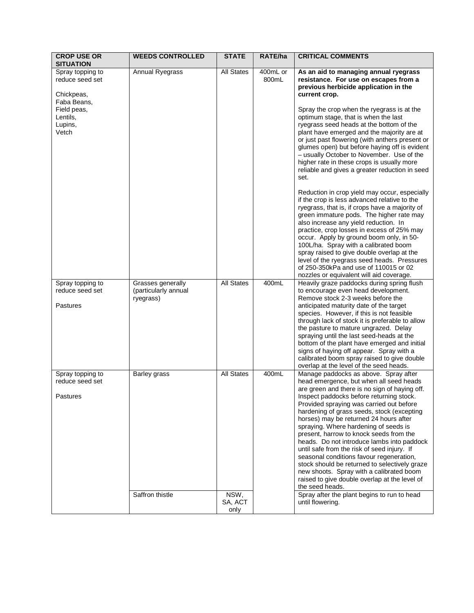| <b>CROP USE OR</b><br><b>SITUATION</b>                     | <b>WEEDS CONTROLLED</b>                                | <b>STATE</b>            | RATE/ha           | <b>CRITICAL COMMENTS</b>                                                                                                                                                                                                                                                                                                                                                                                                                                                                                                                                                                                                                                                                                                    |
|------------------------------------------------------------|--------------------------------------------------------|-------------------------|-------------------|-----------------------------------------------------------------------------------------------------------------------------------------------------------------------------------------------------------------------------------------------------------------------------------------------------------------------------------------------------------------------------------------------------------------------------------------------------------------------------------------------------------------------------------------------------------------------------------------------------------------------------------------------------------------------------------------------------------------------------|
| Spray topping to<br>reduce seed set<br>Chickpeas,          | Annual Ryegrass                                        | <b>All States</b>       | 400mL or<br>800mL | As an aid to managing annual ryegrass<br>resistance. For use on escapes from a<br>previous herbicide application in the<br>current crop.                                                                                                                                                                                                                                                                                                                                                                                                                                                                                                                                                                                    |
| Faba Beans,<br>Field peas,<br>Lentils,<br>Lupins,<br>Vetch |                                                        |                         |                   | Spray the crop when the ryegrass is at the<br>optimum stage, that is when the last<br>ryegrass seed heads at the bottom of the<br>plant have emerged and the majority are at<br>or just past flowering (with anthers present or<br>glumes open) but before haying off is evident<br>- usually October to November. Use of the<br>higher rate in these crops is usually more<br>reliable and gives a greater reduction in seed<br>set.<br>Reduction in crop yield may occur, especially<br>if the crop is less advanced relative to the<br>ryegrass, that is, if crops have a majority of<br>green immature pods. The higher rate may<br>also increase any yield reduction. In<br>practice, crop losses in excess of 25% may |
|                                                            |                                                        |                         |                   | occur. Apply by ground boom only, in 50-<br>100L/ha. Spray with a calibrated boom<br>spray raised to give double overlap at the<br>level of the ryegrass seed heads. Pressures<br>of 250-350kPa and use of 110015 or 02<br>nozzles or equivalent will aid coverage.                                                                                                                                                                                                                                                                                                                                                                                                                                                         |
| Spray topping to<br>reduce seed set<br>Pastures            | Grasses generally<br>(particularly annual<br>ryegrass) | <b>All States</b>       | 400mL             | Heavily graze paddocks during spring flush<br>to encourage even head development.<br>Remove stock 2-3 weeks before the<br>anticipated maturity date of the target<br>species. However, if this is not feasible<br>through lack of stock it is preferable to allow<br>the pasture to mature ungrazed. Delay<br>spraying until the last seed-heads at the<br>bottom of the plant have emerged and initial<br>signs of haying off appear. Spray with a<br>calibrated boom spray raised to give double<br>overlap at the level of the seed heads.                                                                                                                                                                               |
| Spray topping to<br>reduce seed set<br>Pastures            | Barley grass                                           | <b>All States</b>       | 400mL             | Manage paddocks as above. Spray after<br>head emergence, but when all seed heads<br>are green and there is no sign of haying off.<br>Inspect paddocks before returning stock.<br>Provided spraying was carried out before<br>hardening of grass seeds, stock (excepting<br>horses) may be returned 24 hours after<br>spraying. Where hardening of seeds is<br>present, harrow to knock seeds from the<br>heads. Do not introduce lambs into paddock<br>until safe from the risk of seed injury. If<br>seasonal conditions favour regeneration,<br>stock should be returned to selectively graze<br>new shoots. Spray with a calibrated boom<br>raised to give double overlap at the level of<br>the seed heads.             |
|                                                            | Saffron thistle                                        | NSW,<br>SA, ACT<br>only |                   | Spray after the plant begins to run to head<br>until flowering.                                                                                                                                                                                                                                                                                                                                                                                                                                                                                                                                                                                                                                                             |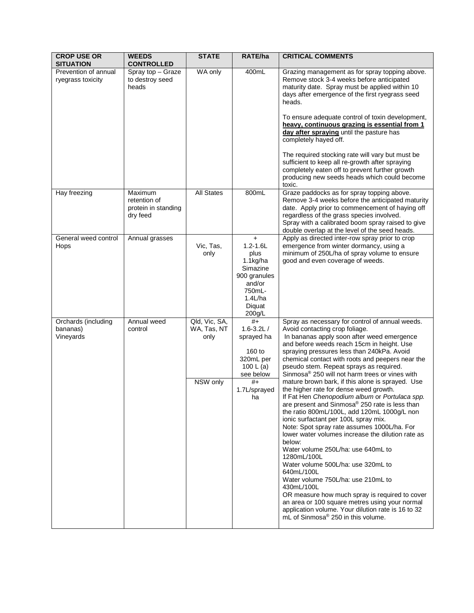| <b>CROP USE OR</b><br><b>SITUATION</b>       | <b>WEEDS</b><br><b>CONTROLLED</b>                          | <b>STATE</b>                                     | RATE/ha                                                                                                                      | <b>CRITICAL COMMENTS</b>                                                                                                                                                                                                                                                                                                                                                                                                                                                                                                                                                                                                                                                                                                                                                                                                                                                                                                                                                                                                                                                                                                                                     |
|----------------------------------------------|------------------------------------------------------------|--------------------------------------------------|------------------------------------------------------------------------------------------------------------------------------|--------------------------------------------------------------------------------------------------------------------------------------------------------------------------------------------------------------------------------------------------------------------------------------------------------------------------------------------------------------------------------------------------------------------------------------------------------------------------------------------------------------------------------------------------------------------------------------------------------------------------------------------------------------------------------------------------------------------------------------------------------------------------------------------------------------------------------------------------------------------------------------------------------------------------------------------------------------------------------------------------------------------------------------------------------------------------------------------------------------------------------------------------------------|
| Prevention of annual<br>ryegrass toxicity    | Spray top - Graze<br>to destroy seed<br>heads              | WA only                                          | 400mL                                                                                                                        | Grazing management as for spray topping above.<br>Remove stock 3-4 weeks before anticipated<br>maturity date. Spray must be applied within 10<br>days after emergence of the first ryegrass seed<br>heads.<br>To ensure adequate control of toxin development,<br>heavy, continuous grazing is essential from 1<br>day after spraying until the pasture has<br>completely hayed off.<br>The required stocking rate will vary but must be<br>sufficient to keep all re-growth after spraying<br>completely eaten off to prevent further growth<br>producing new seeds heads which could become<br>toxic.                                                                                                                                                                                                                                                                                                                                                                                                                                                                                                                                                      |
| Hay freezing                                 | Maximum<br>retention of<br>protein in standing<br>dry feed | <b>All States</b>                                | 800mL                                                                                                                        | Graze paddocks as for spray topping above.<br>Remove 3-4 weeks before the anticipated maturity<br>date. Apply prior to commencement of haying off<br>regardless of the grass species involved.<br>Spray with a calibrated boom spray raised to give<br>double overlap at the level of the seed heads.                                                                                                                                                                                                                                                                                                                                                                                                                                                                                                                                                                                                                                                                                                                                                                                                                                                        |
| General weed control<br>Hops                 | Annual grasses                                             | Vic, Tas,<br>only                                | $\ddot{}$<br>$1.2 - 1.6L$<br>plus<br>1.1kg/ha<br>Simazine<br>900 granules<br>and/or<br>750mL-<br>1.4L/ha<br>Diquat<br>200g/L | Apply as directed inter-row spray prior to crop<br>emergence from winter dormancy, using a<br>minimum of 250L/ha of spray volume to ensure<br>good and even coverage of weeds.                                                                                                                                                                                                                                                                                                                                                                                                                                                                                                                                                                                                                                                                                                                                                                                                                                                                                                                                                                               |
| Orchards (including<br>bananas)<br>Vineyards | Annual weed<br>control                                     | Qld, Vic, SA,<br>WA, Tas, NT<br>only<br>NSW only | $#+$<br>$1.6 - 3.2 L /$<br>sprayed ha<br>160 to<br>320mL per<br>100 L (a)<br>see below<br>$#+$<br>1.7L/sprayed<br>ha         | Spray as necessary for control of annual weeds.<br>Avoid contacting crop foliage.<br>In bananas apply soon after weed emergence<br>and before weeds reach 15cm in height. Use<br>spraying pressures less than 240kPa. Avoid<br>chemical contact with roots and peepers near the<br>pseudo stem. Repeat sprays as required.<br>Sinmosa <sup>®</sup> 250 will not harm trees or vines with<br>mature brown bark, if this alone is sprayed. Use<br>the higher rate for dense weed growth.<br>If Fat Hen Chenopodium album or Portulaca spp.<br>are present and Sinmosa® 250 rate is less than<br>the ratio 800mL/100L, add 120mL 1000g/L non<br>ionic surfactant per 100L spray mix.<br>Note: Spot spray rate assumes 1000L/ha. For<br>lower water volumes increase the dilution rate as<br>below:<br>Water volume 250L/ha: use 640mL to<br>1280mL/100L<br>Water volume 500L/ha: use 320mL to<br>640mL/100L<br>Water volume 750L/ha: use 210mL to<br>430mL/100L<br>OR measure how much spray is required to cover<br>an area or 100 square metres using your normal<br>application volume. Your dilution rate is 16 to 32<br>mL of Sinmosa® 250 in this volume. |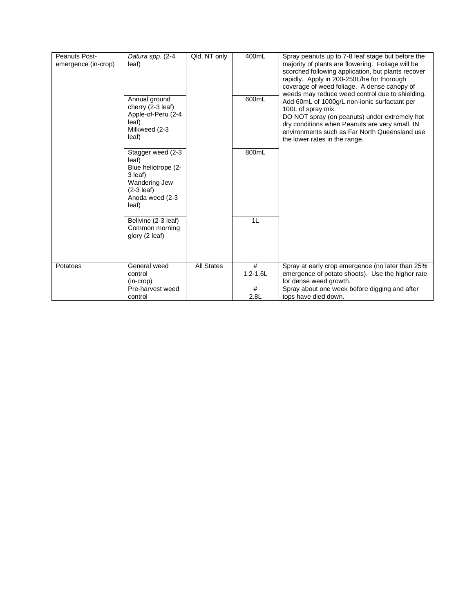| <b>Peanuts Post-</b><br>emergence (in-crop) | Datura spp. (2-4<br>leaf)                                                                                                   | Qld, NT only      | 400mL             | Spray peanuts up to 7-8 leaf stage but before the<br>majority of plants are flowering. Foliage will be<br>scorched following application, but plants recover<br>rapidly. Apply in 200-250L/ha for thorough<br>coverage of weed foliage. A dense canopy of<br>weeds may reduce weed control due to shielding. |
|---------------------------------------------|-----------------------------------------------------------------------------------------------------------------------------|-------------------|-------------------|--------------------------------------------------------------------------------------------------------------------------------------------------------------------------------------------------------------------------------------------------------------------------------------------------------------|
|                                             | Annual ground<br>cherry (2-3 leaf)<br>Apple-of-Peru (2-4<br>leaf)<br>Milkweed (2-3<br>leaf)                                 |                   | 600mL             | Add 60mL of 1000g/L non-ionic surfactant per<br>100L of spray mix.<br>DO NOT spray (on peanuts) under extremely hot<br>dry conditions when Peanuts are very small. IN<br>environments such as Far North Queensland use<br>the lower rates in the range.                                                      |
|                                             | Stagger weed (2-3)<br>leaf)<br>Blue heliotrope (2-<br>3 leaf)<br>Wandering Jew<br>$(2-3$ leaf)<br>Anoda weed (2-3)<br>leaf) |                   | 800mL             |                                                                                                                                                                                                                                                                                                              |
|                                             | Bellvine (2-3 leaf)<br>Common morning<br>glory (2 leaf)                                                                     |                   | 1L                |                                                                                                                                                                                                                                                                                                              |
| Potatoes                                    | General weed<br>control<br>$(in-crop)$                                                                                      | <b>All States</b> | #<br>$1.2 - 1.6L$ | Spray at early crop emergence (no later than 25%<br>emergence of potato shoots). Use the higher rate<br>for dense weed growth.                                                                                                                                                                               |
|                                             | Pre-harvest weed<br>control                                                                                                 |                   | #<br>2.8L         | Spray about one week before digging and after<br>tops have died down.                                                                                                                                                                                                                                        |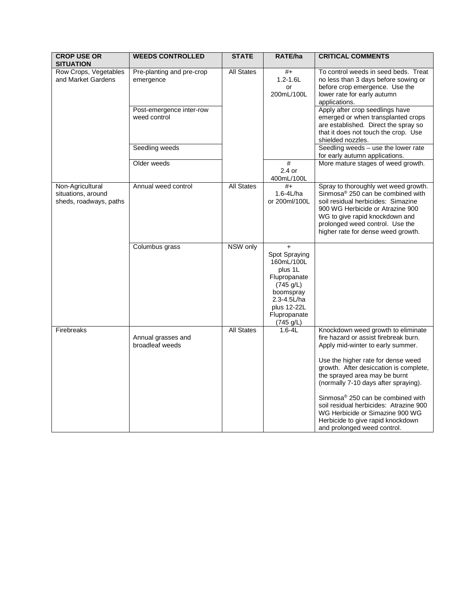| <b>CROP USE OR</b><br><b>SITUATION</b>                           | <b>WEEDS CONTROLLED</b>                  | <b>STATE</b>      | RATE/ha                                                                                                                                            | <b>CRITICAL COMMENTS</b>                                                                                                                                                                                                                                                                                                                                                                                                                                        |
|------------------------------------------------------------------|------------------------------------------|-------------------|----------------------------------------------------------------------------------------------------------------------------------------------------|-----------------------------------------------------------------------------------------------------------------------------------------------------------------------------------------------------------------------------------------------------------------------------------------------------------------------------------------------------------------------------------------------------------------------------------------------------------------|
| Row Crops, Vegetables<br>and Market Gardens                      | Pre-planting and pre-crop<br>emergence   | <b>All States</b> | $#+$<br>$1.2 - 1.6L$<br>or<br>200mL/100L                                                                                                           | To control weeds in seed beds. Treat<br>no less than 3 days before sowing or<br>before crop emergence. Use the<br>lower rate for early autumn<br>applications.                                                                                                                                                                                                                                                                                                  |
|                                                                  | Post-emergence inter-row<br>weed control |                   |                                                                                                                                                    | Apply after crop seedlings have<br>emerged or when transplanted crops<br>are established. Direct the spray so<br>that it does not touch the crop. Use<br>shielded nozzles.                                                                                                                                                                                                                                                                                      |
|                                                                  | Seedling weeds                           |                   |                                                                                                                                                    | Seedling weeds - use the lower rate<br>for early autumn applications.                                                                                                                                                                                                                                                                                                                                                                                           |
|                                                                  | Older weeds                              |                   | #<br>$2.4$ or<br>400mL/100L                                                                                                                        | More mature stages of weed growth.                                                                                                                                                                                                                                                                                                                                                                                                                              |
| Non-Agricultural<br>situations, around<br>sheds, roadways, paths | Annual weed control                      | <b>All States</b> | $#+$<br>1.6-4L/ha<br>or 200ml/100L                                                                                                                 | Spray to thoroughly wet weed growth.<br>Sinmosa <sup>®</sup> 250 can be combined with<br>soil residual herbicides: Simazine<br>900 WG Herbicide or Atrazine 900<br>WG to give rapid knockdown and<br>prolonged weed control. Use the<br>higher rate for dense weed growth.                                                                                                                                                                                      |
|                                                                  | Columbus grass                           | NSW only          | $+$<br>Spot Spraying<br>160mL/100L<br>plus 1L<br>Flupropanate<br>(745 g/L)<br>boomspray<br>2.3-4.5L/ha<br>plus 12-22L<br>Flupropanate<br>(745 g/L) |                                                                                                                                                                                                                                                                                                                                                                                                                                                                 |
| Firebreaks                                                       | Annual grasses and<br>broadleaf weeds    | <b>All States</b> | $1.6 - 4L$                                                                                                                                         | Knockdown weed growth to eliminate<br>fire hazard or assist firebreak burn.<br>Apply mid-winter to early summer.<br>Use the higher rate for dense weed<br>growth. After desiccation is complete,<br>the sprayed area may be burnt<br>(normally 7-10 days after spraying).<br>Sinmosa® 250 can be combined with<br>soil residual herbicides: Atrazine 900<br>WG Herbicide or Simazine 900 WG<br>Herbicide to give rapid knockdown<br>and prolonged weed control. |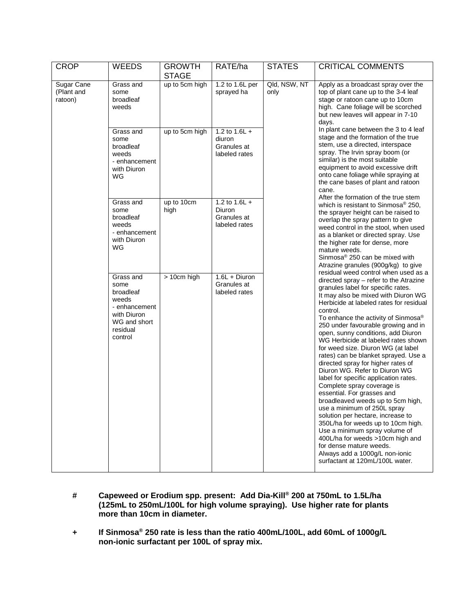| <b>CROP</b>                         | <b>WEEDS</b>                                                                                                   | <b>GROWTH</b><br><b>STAGE</b> | RATE/ha                                                   | <b>STATES</b>        | <b>CRITICAL COMMENTS</b>                                                                                                                                                                                                                                                                                                                                                                                                                                                                                                                                                                                                                                                                                                                                                                                                                                                                                                                                                                                                                                                                                                                                                                                                                                                                                                                                                                                                                                                                                                                                                                                                                                                                                                                                                                                                                                                   |
|-------------------------------------|----------------------------------------------------------------------------------------------------------------|-------------------------------|-----------------------------------------------------------|----------------------|----------------------------------------------------------------------------------------------------------------------------------------------------------------------------------------------------------------------------------------------------------------------------------------------------------------------------------------------------------------------------------------------------------------------------------------------------------------------------------------------------------------------------------------------------------------------------------------------------------------------------------------------------------------------------------------------------------------------------------------------------------------------------------------------------------------------------------------------------------------------------------------------------------------------------------------------------------------------------------------------------------------------------------------------------------------------------------------------------------------------------------------------------------------------------------------------------------------------------------------------------------------------------------------------------------------------------------------------------------------------------------------------------------------------------------------------------------------------------------------------------------------------------------------------------------------------------------------------------------------------------------------------------------------------------------------------------------------------------------------------------------------------------------------------------------------------------------------------------------------------------|
| Sugar Cane<br>(Plant and<br>ratoon) | Grass and<br>some<br>broadleaf<br>weeds                                                                        | up to 5cm high                | 1.2 to 1.6L per<br>sprayed ha                             | Qld, NSW, NT<br>only | Apply as a broadcast spray over the<br>top of plant cane up to the 3-4 leaf<br>stage or ratoon cane up to 10cm<br>high. Cane foliage will be scorched<br>but new leaves will appear in 7-10<br>days.<br>In plant cane between the 3 to 4 leaf<br>stage and the formation of the true<br>stem, use a directed, interspace<br>spray. The Irvin spray boom (or<br>similar) is the most suitable<br>equipment to avoid excessive drift<br>onto cane foliage while spraying at<br>the cane bases of plant and ratoon<br>cane.<br>After the formation of the true stem<br>which is resistant to Sinmosa <sup>®</sup> 250,<br>the sprayer height can be raised to<br>overlap the spray pattern to give<br>weed control in the stool, when used<br>as a blanket or directed spray. Use<br>the higher rate for dense, more<br>mature weeds.<br>Sinmosa® 250 can be mixed with<br>Atrazine granules (900g/kg) to give<br>residual weed control when used as a<br>directed spray - refer to the Atrazine<br>granules label for specific rates.<br>It may also be mixed with Diuron WG<br>Herbicide at labeled rates for residual<br>control.<br>To enhance the activity of Sinmosa®<br>250 under favourable growing and in<br>open, sunny conditions, add Diuron<br>WG Herbicide at labeled rates shown<br>for weed size. Diuron WG (at label<br>rates) can be blanket sprayed. Use a<br>directed spray for higher rates of<br>Diuron WG. Refer to Diuron WG<br>label for specific application rates.<br>Complete spray coverage is<br>essential. For grasses and<br>broadleaved weeds up to 5cm high,<br>use a minimum of 250L spray<br>solution per hectare, increase to<br>350L/ha for weeds up to 10cm high.<br>Use a minimum spray volume of<br>400L/ha for weeds >10cm high and<br>for dense mature weeds.<br>Always add a 1000g/L non-ionic<br>surfactant at 120mL/100L water. |
|                                     | Grass and<br>some<br>broadleaf<br>weeds<br>- enhancement<br>with Diuron<br>WG                                  | up to 5cm high                | 1.2 to $1.6L +$<br>diuron<br>Granules at<br>labeled rates |                      |                                                                                                                                                                                                                                                                                                                                                                                                                                                                                                                                                                                                                                                                                                                                                                                                                                                                                                                                                                                                                                                                                                                                                                                                                                                                                                                                                                                                                                                                                                                                                                                                                                                                                                                                                                                                                                                                            |
|                                     | Grass and<br>some<br>broadleaf<br>weeds<br>- enhancement<br>with Diuron<br>WG                                  | up to 10cm<br>high            | 1.2 to $1.6L +$<br>Diuron<br>Granules at<br>labeled rates |                      |                                                                                                                                                                                                                                                                                                                                                                                                                                                                                                                                                                                                                                                                                                                                                                                                                                                                                                                                                                                                                                                                                                                                                                                                                                                                                                                                                                                                                                                                                                                                                                                                                                                                                                                                                                                                                                                                            |
|                                     | Grass and<br>some<br>broadleaf<br>weeds<br>- enhancement<br>with Diuron<br>WG and short<br>residual<br>control | > 10cm high                   | 1.6L + Diuron<br>Granules at<br>labeled rates             |                      |                                                                                                                                                                                                                                                                                                                                                                                                                                                                                                                                                                                                                                                                                                                                                                                                                                                                                                                                                                                                                                                                                                                                                                                                                                                                                                                                                                                                                                                                                                                                                                                                                                                                                                                                                                                                                                                                            |

- **# Capeweed or Erodium spp. present: Add Dia-Kill® 200 at 750mL to 1.5L/ha (125mL to 250mL/100L for high volume spraying). Use higher rate for plants more than 10cm in diameter.**
- **+ If Sinmosa® 250 rate is less than the ratio 400mL/100L, add 60mL of 1000g/L non-ionic surfactant per 100L of spray mix.**